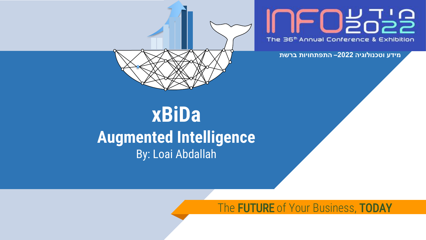#### FOBobe The 36<sup>th</sup> Annual Conference & Exhibition

**מידע וטכנולוגיה 2022– התפתחויות ברשת**

#### **xBiDa Augmented Intelligence** By: Loai Abdallah

The **FUTURE** of Your Business, TODAY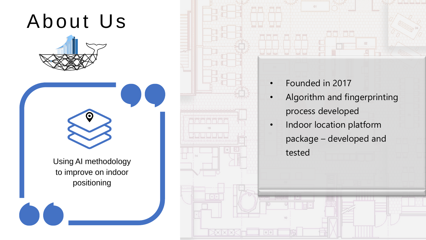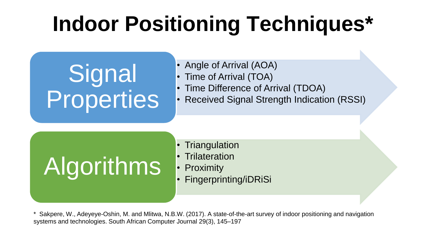## **Indoor Positioning Techniques\***

**Signal Properties** 

- Angle of Arrival (AOA)
- Time of Arrival (TOA)
- Time Difference of Arrival (TDOA)
- Received Signal Strength Indication (RSSI)



- Triangulation
- Trilateration
- 
- 

\* Sakpere, W., Adeyeye-Oshin, M. and Mlitwa, N.B.W. (2017). A state-of-the-art survey of indoor positioning and navigation systems and technologies. South African Computer Journal 29(3), 145–197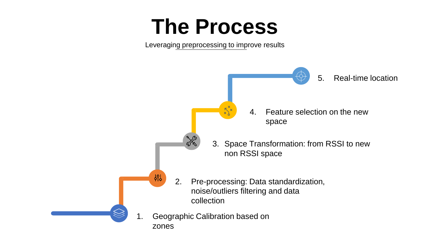#### **The Process**

Leveraging preprocessing to improve results

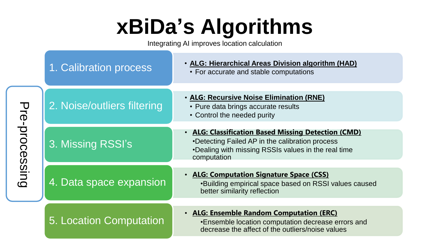## **xBiDa's Algorithms**

Integrating AI improves location calculation

|                | 1. Calibration process      | • ALG: Hierarchical Areas Division algorithm (HAD)<br>• For accurate and stable computations                                                                                 |
|----------------|-----------------------------|------------------------------------------------------------------------------------------------------------------------------------------------------------------------------|
| Pre-processing | 2. Noise/outliers filtering | • ALG: Recursive Noise Elimination (RNE)<br>• Pure data brings accurate results<br>• Control the needed purity                                                               |
|                | 3. Missing RSSI's           | . ALG: Classification Based Missing Detection (CMD)<br>•Detecting Failed AP in the calibration process<br>•Dealing with missing RSSIs values in the real time<br>computation |
|                | 4. Data space expansion     | • ALG: Computation Signature Space (CSS)<br>•Building empirical space based on RSSI values caused<br>better similarity reflection                                            |
|                | 5. Location Computation     | . ALG: Ensemble Random Computation (ERC)<br>•Ensemble location computation decrease errors and<br>decrease the affect of the outliers/noise values                           |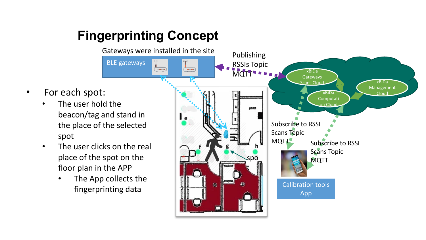#### **Fingerprinting Concept**

spot

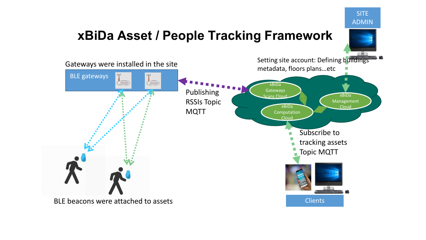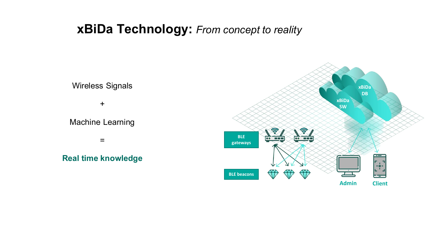#### **xBiDa Technology:** *From concept to reality*

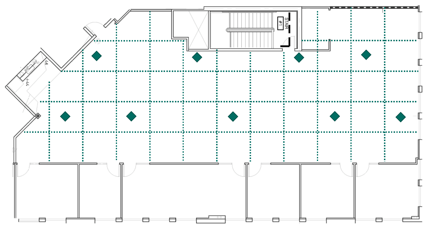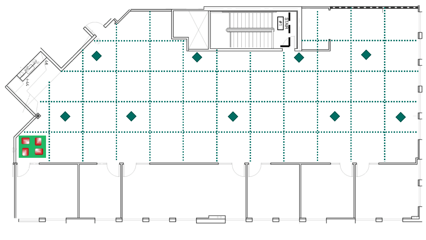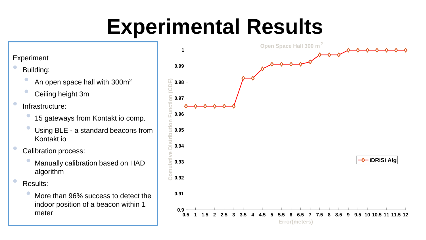## **Experimental Results**

#### Experiment

• Building:

- An open space hall with 300m<sup>2</sup>
- Ceiling height 3m

• Infrastructure:

- 15 gateways from Kontakt io comp.
- Using BLE a standard beacons from Kontakt io

• Calibration process:

• Manually calibration based on HAD algorithm

• Results:

• More than 96% success to detect the indoor position of a beacon within 1 meter

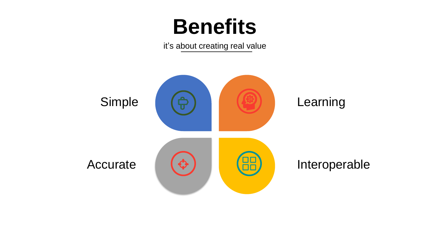#### **Benefits**

it's about creating real value

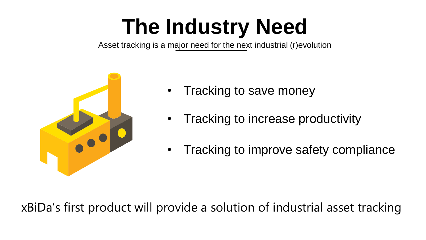## **The Industry Need**

Asset tracking is a major need for the next industrial (r)evolution



- Tracking to save money
- Tracking to increase productivity
- Tracking to improve safety compliance

xBiDa's first product will provide a solution of industrial asset tracking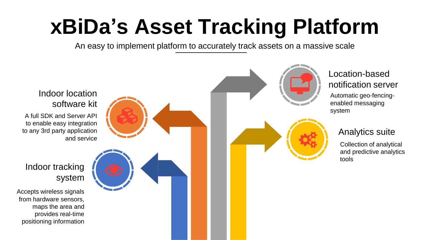## **xBiDa's Asset Tracking Platform**

An easy to implement platform to accurately track assets on a massive scale

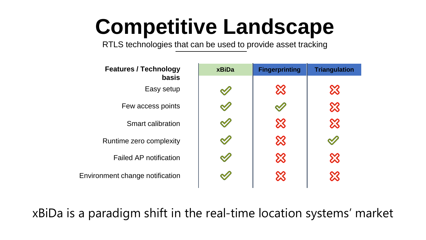#### **Competitive Landscape**

RTLS technologies that can be used to provide asset tracking

| <b>Features / Technology</b>    | <b>xBiDa</b> | <b>Fingerprinting</b> | <b>Triangulation</b> |
|---------------------------------|--------------|-----------------------|----------------------|
| basis                           |              |                       |                      |
| Easy setup                      |              | ⋙                     | X                    |
| Few access points               |              |                       | X                    |
| Smart calibration               |              | ╳                     | X                    |
| Runtime zero complexity         |              |                       |                      |
| <b>Failed AP notification</b>   |              |                       |                      |
| Environment change notification |              |                       |                      |
|                                 |              |                       |                      |

xBiDa is a paradigm shift in the real-time location systems' market